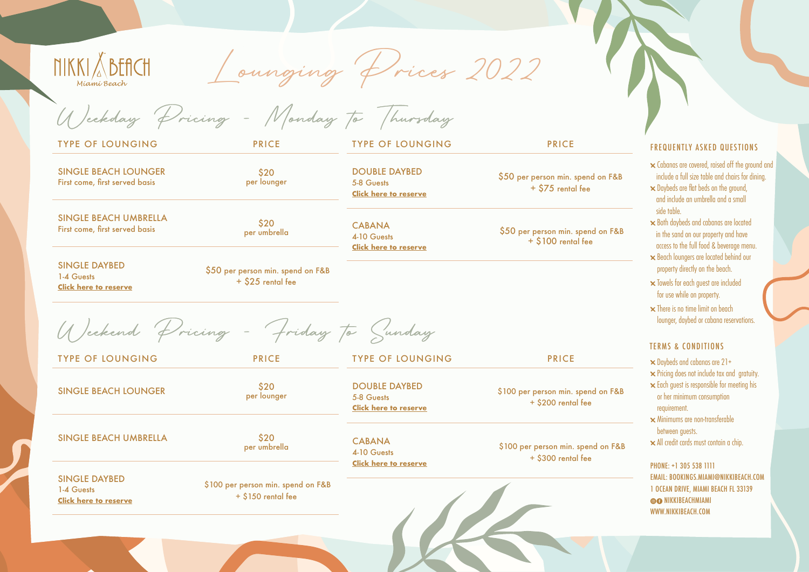**NIKKI & BEACH** Miami Beach

Lounging Prices 2022

Weekday Pricing - Monday to Thursday

\$20 per lounger

TYPE OF LOUNGING PRICE

SINGLE BEACH LOUNGER First come, first served basis

SINGLE BEACH UMBRELLA SINGLE BEACH OMBRELLA<br>First come, first served basis

SINGLE DAYBED 1-4 Guests **[Click here to reserve](https://www.opentable.com/booking/experiences-availability?rid=1329&experienceId=30604&restref=1329)** \$50 per person min. spend on F&B + \$25 rental fee

per umbrella

Weekend Pricing - Friday to Sunday

TYPE OF LOUNGING PRICE

SINGLE BEACH LOUNGER \$20

SINGLE BEACH UMBRELLA \$20

SINGLE DAYBED 1-4 Guests **[Click here to reserve](https://www.opentable.com/booking/experiences-availability?rid=1329&experienceId=30608&restref=1329)** \$100 per person min. spend on F&B  $+ $150$  rental fee

per lounger

per umbrella

TYPE OF LOUNGING PRICE

DOUBLE DAYBED 5-8 Guests **[Click here to reserve](https://www.opentable.com/booking/experiences-availability?rid=1329&experienceId=30606&restref=1329)**

**CABANA** 4-10 Guests **[Click here to reserve](https://www.opentable.com/booking/experiences-availability?rid=1329&experienceId=30607&restref=1329)**

TYPE OF LOUNGING PRICE

DOUBLE DAYBED 5-8 Guests **[Click here to reserve](https://www.opentable.com/booking/experiences-availability?rid=1329&experienceId=30609&restref=1329)**

CABANA 4-10 Guests **[Click here to reserve](https://www.opentable.com/booking/experiences-availability?rid=1329&experienceId=30611&restref=1329)** \$100 per person min. spend on F&B + \$300 rental fee

\$50 per person min. spend on F&B + \$75 rental fee

\$50 per person min. spend on F&B + \$100 rental fee

\$100 per person min. spend on F&B + \$200 rental fee

FREQUENTLY ASKED QUESTIONS

Cabanas are covered, raised off the ground and include a full size table and chairs for dining. Daybeds are flat beds on the ground, and include an umbrella and a small side table.

Both daybeds and cabanas are located in the sand on our property and have

 access to the full food & beverage menu. Beach loungers are located behind our property directly on the beach.

 Towels for each guest are included for use while on property.

 $\times$  There is no time limit on beach lounger, daybed or cabana reservations.

## TERMS & CONDITIONS

 $\times$  Daybeds and cabanas are 21+ Pricing does not include tax and gratuity. Each guest is responsible for meeting his or her minimum consumption requirement. Minimums are non-transferable

 between guests. All credit cards must contain a chip.

PHONE: +1 305 538 1111 EMAIL: BOOKINGS[.MIAMI@NIKKIBEACH.COM](mailto:RESERVATIONS.MALLORCA%40NIKKIBEACH.COM%20?subject=) 1 OCEAN DRIVE, MIAMI BEACH FL 33139 **OG NIKKIBEACHMIAMI** WWW.NIKKIBEACH.COM